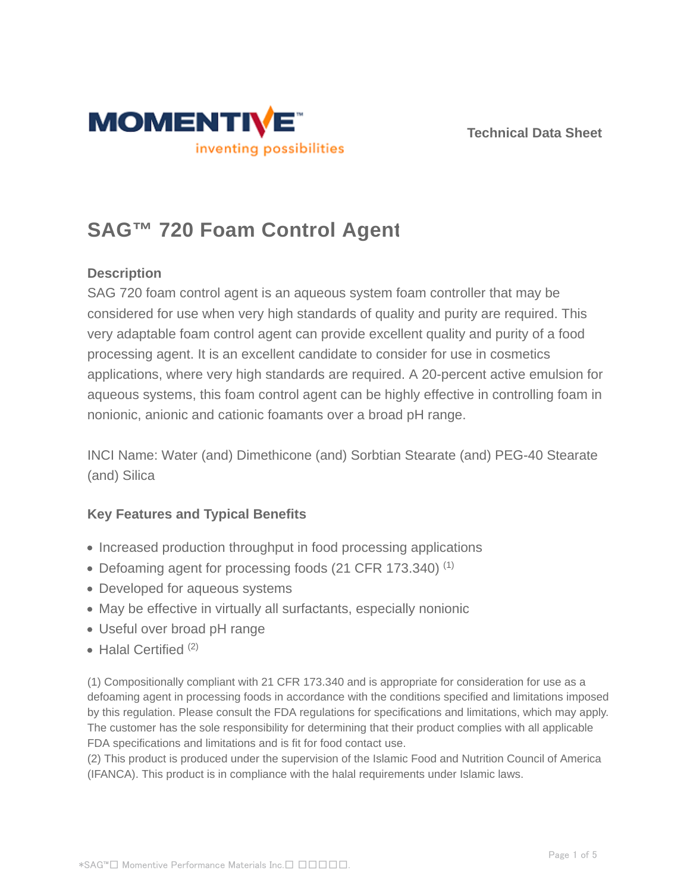



# **SAG™ 720 Foam Control Agent**

# **Description**

SAG 720 foam control agent is an aqueous system foam controller that may be considered for use when very high standards of quality and purity are required. This very adaptable foam control agent can provide excellent quality and purity of a food processing agent. It is an excellent candidate to consider for use in cosmetics applications, where very high standards are required. A 20-percent active emulsion for aqueous systems, this foam control agent can be highly effective in controlling foam in nonionic, anionic and cationic foamants over a broad pH range.

INCI Name: Water (and) Dimethicone (and) Sorbtian Stearate (and) PEG-40 Stearate (and) Silica

# **Key Features and Typical Benefits**

- Increased production throughput in food processing applications
- Defoaming agent for processing foods (21 CFR 173.340)  $(1)$
- Developed for aqueous systems
- May be effective in virtually all surfactants, especially nonionic
- Useful over broad pH range
- $\bullet$  Halal Certified  $(2)$

(1) Compositionally compliant with 21 CFR 173.340 and is appropriate for consideration for use as a defoaming agent in processing foods in accordance with the conditions specified and limitations imposed by this regulation. Please consult the FDA regulations for specifications and limitations, which may apply. The customer has the sole responsibility for determining that their product complies with all applicable FDA specifications and limitations and is fit for food contact use.

(2) This product is produced under the supervision of the Islamic Food and Nutrition Council of America (IFANCA). This product is in compliance with the halal requirements under Islamic laws.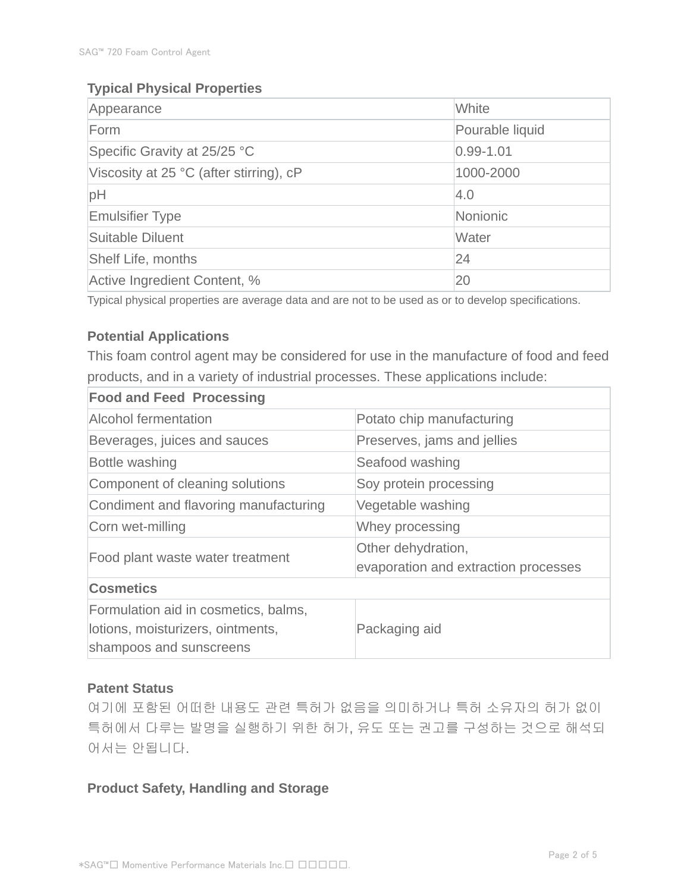# **Typical Physical Properties**

| Appearance                              | White           |  |
|-----------------------------------------|-----------------|--|
| Form                                    | Pourable liquid |  |
| Specific Gravity at 25/25 °C            | $0.99 - 1.01$   |  |
| Viscosity at 25 °C (after stirring), cP | 1000-2000       |  |
| pH                                      | 4.0             |  |
| <b>Emulsifier Type</b>                  | Nonionic        |  |
| Suitable Diluent                        | Water           |  |
| <b>Shelf Life, months</b>               | 24              |  |
| Active Ingredient Content, %            | 20              |  |

Typical physical properties are average data and are not to be used as or to develop specifications.

#### **Potential Applications**

This foam control agent may be considered for use in the manufacture of food and feed products, and in a variety of industrial processes. These applications include:

| <b>Food and Feed Processing</b>                                                                      |                                                            |  |  |
|------------------------------------------------------------------------------------------------------|------------------------------------------------------------|--|--|
| <b>Alcohol fermentation</b>                                                                          | Potato chip manufacturing                                  |  |  |
| Beverages, juices and sauces                                                                         | Preserves, jams and jellies                                |  |  |
| Bottle washing                                                                                       | Seafood washing                                            |  |  |
| Component of cleaning solutions                                                                      | Soy protein processing                                     |  |  |
| Condiment and flavoring manufacturing                                                                | Vegetable washing                                          |  |  |
| Corn wet-milling                                                                                     | Whey processing                                            |  |  |
| Food plant waste water treatment                                                                     | Other dehydration,<br>evaporation and extraction processes |  |  |
| <b>Cosmetics</b>                                                                                     |                                                            |  |  |
| Formulation aid in cosmetics, balms,<br>lotions, moisturizers, ointments,<br>shampoos and sunscreens | Packaging aid                                              |  |  |

#### **Patent Status**

여기에 포함된 어떠한 내용도 관련 특허가 없음을 의미하거나 특허 소유자의 허가 없이 특허에서 다루는 발명을 실행하기 위한 허가, 유도 또는 권고를 구성하는 것으로 해석되 어서는 안됩니다.

#### **Product Safety, Handling and Storage**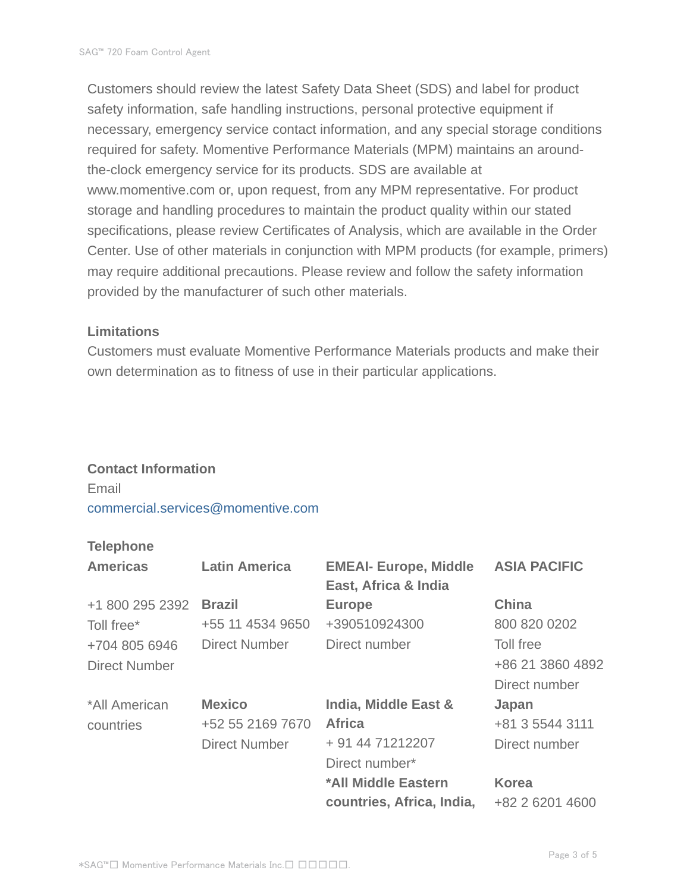Customers should review the latest Safety Data Sheet (SDS) and label for product safety information, safe handling instructions, personal protective equipment if necessary, emergency service contact information, and any special storage conditions required for safety. Momentive Performance Materials (MPM) maintains an aroundthe-clock emergency service for its products. SDS are available at www.momentive.com or, upon request, from any MPM representative. For product storage and handling procedures to maintain the product quality within our stated specifications, please review Certificates of Analysis, which are available in the Order Center. Use of other materials in conjunction with MPM products (for example, primers) may require additional precautions. Please review and follow the safety information provided by the manufacturer of such other materials.

#### **Limitations**

Customers must evaluate Momentive Performance Materials products and make their own determination as to fitness of use in their particular applications.

#### **Contact Information**

Email commercial.services@momentive.com

#### **Telephone**

| <b>Americas</b>      | <b>Latin America</b> | <b>EMEAI- Europe, Middle</b><br>East, Africa & India | <b>ASIA PACIFIC</b> |
|----------------------|----------------------|------------------------------------------------------|---------------------|
| +1 800 295 2392      | <b>Brazil</b>        | <b>Europe</b>                                        | <b>China</b>        |
| Toll free*           | +55 11 4534 9650     | +390510924300                                        | 800 820 0202        |
| +704 805 6946        | <b>Direct Number</b> | Direct number                                        | Toll free           |
| <b>Direct Number</b> |                      |                                                      | +86 21 3860 4892    |
|                      |                      |                                                      | Direct number       |
| *All American        | <b>Mexico</b>        | India, Middle East &                                 | Japan               |
| countries            | +52 55 2169 7670     | <b>Africa</b>                                        | +81 3 5544 3111     |
|                      | <b>Direct Number</b> | + 91 44 71212207                                     | Direct number       |
|                      |                      | Direct number*                                       |                     |
|                      |                      | *All Middle Eastern                                  | <b>Korea</b>        |
|                      |                      | countries, Africa, India,                            | +82 2 6201 4600     |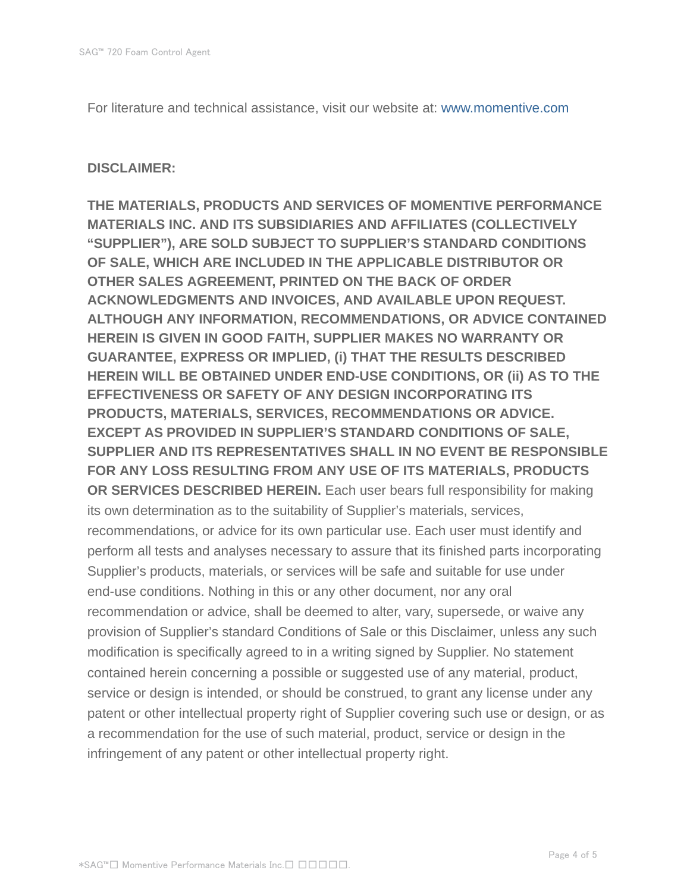For literature and technical assistance, visit our website at: www.momentive.com

#### **DISCLAIMER:**

**THE MATERIALS, PRODUCTS AND SERVICES OF MOMENTIVE PERFORMANCE MATERIALS INC. AND ITS SUBSIDIARIES AND AFFILIATES (COLLECTIVELY "SUPPLIER"), ARE SOLD SUBJECT TO SUPPLIER'S STANDARD CONDITIONS OF SALE, WHICH ARE INCLUDED IN THE APPLICABLE DISTRIBUTOR OR OTHER SALES AGREEMENT, PRINTED ON THE BACK OF ORDER ACKNOWLEDGMENTS AND INVOICES, AND AVAILABLE UPON REQUEST. ALTHOUGH ANY INFORMATION, RECOMMENDATIONS, OR ADVICE CONTAINED HEREIN IS GIVEN IN GOOD FAITH, SUPPLIER MAKES NO WARRANTY OR GUARANTEE, EXPRESS OR IMPLIED, (i) THAT THE RESULTS DESCRIBED HEREIN WILL BE OBTAINED UNDER END-USE CONDITIONS, OR (ii) AS TO THE EFFECTIVENESS OR SAFETY OF ANY DESIGN INCORPORATING ITS PRODUCTS, MATERIALS, SERVICES, RECOMMENDATIONS OR ADVICE. EXCEPT AS PROVIDED IN SUPPLIER'S STANDARD CONDITIONS OF SALE, SUPPLIER AND ITS REPRESENTATIVES SHALL IN NO EVENT BE RESPONSIBLE FOR ANY LOSS RESULTING FROM ANY USE OF ITS MATERIALS, PRODUCTS OR SERVICES DESCRIBED HEREIN.** Each user bears full responsibility for making its own determination as to the suitability of Supplier's materials, services, recommendations, or advice for its own particular use. Each user must identify and perform all tests and analyses necessary to assure that its finished parts incorporating Supplier's products, materials, or services will be safe and suitable for use under end-use conditions. Nothing in this or any other document, nor any oral recommendation or advice, shall be deemed to alter, vary, supersede, or waive any provision of Supplier's standard Conditions of Sale or this Disclaimer, unless any such modification is specifically agreed to in a writing signed by Supplier. No statement contained herein concerning a possible or suggested use of any material, product, service or design is intended, or should be construed, to grant any license under any patent or other intellectual property right of Supplier covering such use or design, or as a recommendation for the use of such material, product, service or design in the infringement of any patent or other intellectual property right.